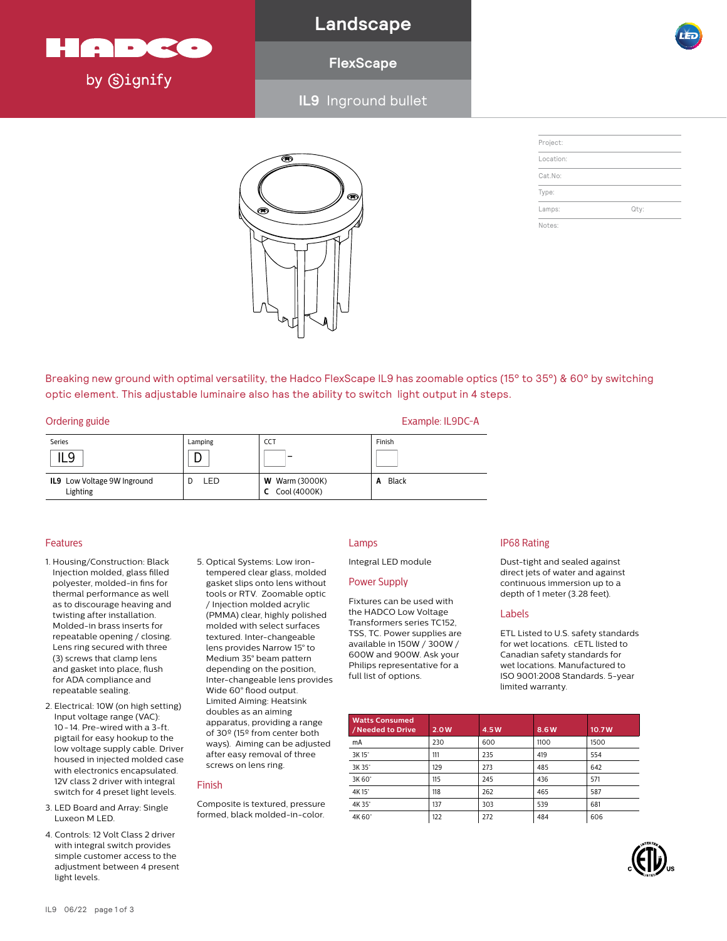

**Landscape**

### **FlexScape**

**IL9** Inground bullet



| Project:  |      |
|-----------|------|
| Location: |      |
| Cat.No:   |      |
| Type:     |      |
| Lamps:    | Qty: |
| Notes:    |      |

Breaking new ground with optimal versatility, the Hadco FlexScape IL9 has zoomable optics (15° to 35°) & 60° by switching optic element. This adjustable luminaire also has the ability to switch light output in 4 steps.

|  | Ordering guide |
|--|----------------|
|  |                |

| Series                                  | Lamping | <b>CCT</b>                                | Finish     |
|-----------------------------------------|---------|-------------------------------------------|------------|
| IL9                                     |         | -                                         |            |
| IL9 Low Voltage 9W Inground<br>Lighting | ∟ED.    | <b>W</b> Warm (3000K)<br>$C$ Cool (4000K) | Black<br>A |

5. Optical Systems: Low irontempered clear glass, molded gasket slips onto lens without tools or RTV. Zoomable optic / Injection molded acrylic (PMMA) clear, highly polished molded with select surfaces textured. Inter-changeable lens provides Narrow 15° to Medium 35° beam pattern depending on the position, Inter-changeable lens provides Wide 60° flood output. Limited Aiming: Heatsink doubles as an aiming apparatus, providing a range of 30º (15º from center both ways). Aiming can be adjusted after easy removal of three screws on lens ring.

Composite is textured, pressure formed, black molded-in-color.

Finish

### Features

- 1. Housing/Construction: Black Injection molded, glass filled polyester, molded-in fins for thermal performance as well as to discourage heaving and twisting after installation. Molded-in brass inserts for repeatable opening / closing. Lens ring secured with three (3) screws that clamp lens and gasket into place, flush for ADA compliance and repeatable sealing.
- 2. Electrical: 10W (on high setting) Input voltage range (VAC): 10-14. Pre-wired with a 3-ft. pigtail for easy hookup to the low voltage supply cable. Driver housed in injected molded case with electronics encapsulated. 12V class 2 driver with integral switch for 4 preset light levels.
- 3. LED Board and Array: Single Luxeon M LED.
- 4. Controls: 12 Volt Class 2 driver with integral switch provides simple customer access to the adjustment between 4 present light levels.

### Lamps

Integral LED module

Example: IL9DC-A

### Power Supply

Fixtures can be used with the HADCO Low Voltage Transformers series TC152, TSS, TC. Power supplies are available in 150W / 300W / 600W and 900W. Ask your Philips representative for a full list of options.

### IP68 Rating

Dust-tight and sealed against direct jets of water and against continuous immersion up to a depth of 1 meter (3.28 feet).

#### Labels

ETL Listed to U.S. safety standards for wet locations. cETL listed to Canadian safety standards for wet locations. Manufactured to ISO 9001:2008 Standards. 5-year limited warranty.

| <b>Watts Consumed</b><br>/ Needed to Drive | 2.0W | 4.5W | 8.6W | 10.7W |
|--------------------------------------------|------|------|------|-------|
| mA                                         | 230  | 600  | 1100 | 1500  |
| 3K15°                                      | 111  | 235  | 419  | 554   |
| 3K 35°                                     | 129  | 273  | 485  | 642   |
| 3K 60°                                     | 115  | 245  | 436  | 571   |
| 4K15°                                      | 118  | 262  | 465  | 587   |
| 4K 35°                                     | 137  | 303  | 539  | 681   |
| 4K 60°                                     | 122  | 272  | 484  | 606   |

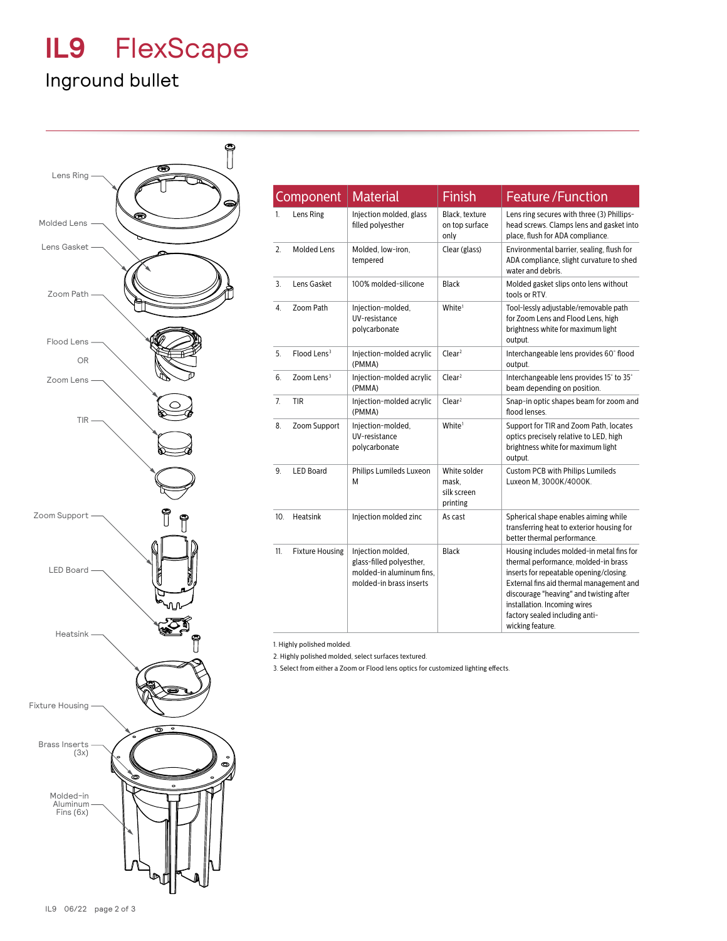## **IL9** FlexScape

## Inground bullet



|     | Component               | <b>Material</b>                                                                                      | Finish                                           | <b>Feature/Function</b>                                                                                                                                                                                                                                                                                   |
|-----|-------------------------|------------------------------------------------------------------------------------------------------|--------------------------------------------------|-----------------------------------------------------------------------------------------------------------------------------------------------------------------------------------------------------------------------------------------------------------------------------------------------------------|
| 1.  | Lens Ring               | Injection molded, glass<br>filled polyesther                                                         | Black, texture<br>on top surface<br>only         | Lens ring secures with three (3) Phillips-<br>head screws. Clamps lens and gasket into<br>place, flush for ADA compliance.                                                                                                                                                                                |
| 2.  | <b>Molded Lens</b>      | Molded, low-iron,<br>tempered                                                                        | Clear (glass)                                    | Environmental barrier, sealing, flush for<br>ADA compliance, slight curvature to shed<br>water and debris.                                                                                                                                                                                                |
| 3.  | Lens Gasket             | 100% molded-silicone                                                                                 | <b>Black</b>                                     | Molded gasket slips onto lens without<br>tools or RTV.                                                                                                                                                                                                                                                    |
| 4.  | Zoom Path               | Injection-molded,<br>UV-resistance<br>polycarbonate                                                  | White <sup>1</sup>                               | Tool-lessly adjustable/removable path<br>for Zoom Lens and Flood Lens, high<br>brightness white for maximum light<br>output.                                                                                                                                                                              |
| 5.  | Flood Lens <sup>3</sup> | Injection-molded acrylic<br>(PMMA)                                                                   | Clear <sup>2</sup>                               | Interchangeable lens provides 60° flood<br>output.                                                                                                                                                                                                                                                        |
| 6.  | Zoom Lens <sup>3</sup>  | Injection-molded acrylic<br>(PMMA)                                                                   | Clear <sup>2</sup>                               | Interchangeable lens provides 15° to 35°<br>beam depending on position.                                                                                                                                                                                                                                   |
| 7.  | <b>TIR</b>              | Injection-molded acrylic<br>(PMMA)                                                                   | Clear <sup>2</sup>                               | Snap-in optic shapes beam for zoom and<br>flood lenses.                                                                                                                                                                                                                                                   |
| 8.  | Zoom Support            | Injection-molded,<br>UV-resistance<br>polycarbonate                                                  | White <sup>1</sup>                               | Support for TIR and Zoom Path, locates<br>optics precisely relative to LED, high<br>brightness white for maximum light<br>output.                                                                                                                                                                         |
| 9.  | <b>LED Board</b>        | Philips Lumileds Luxeon<br>M                                                                         | White solder<br>mask.<br>silk screen<br>printing | <b>Custom PCB with Philips Lumileds</b><br>Luxeon M, 3000K/4000K.                                                                                                                                                                                                                                         |
| 10. | Heatsink                | Injection molded zinc                                                                                | As cast                                          | Spherical shape enables aiming while<br>transferring heat to exterior housing for<br>better thermal performance.                                                                                                                                                                                          |
| 11. | <b>Fixture Housing</b>  | Injection molded.<br>glass-filled polyesther,<br>molded-in aluminum fins.<br>molded-in brass inserts | Black                                            | Housing includes molded-in metal fins for<br>thermal performance, molded-in brass<br>inserts for repeatable opening/closing.<br>External fins aid thermal management and<br>discourage "heaving" and twisting after<br>installation. Incoming wires<br>factory sealed including anti-<br>wicking feature. |

1. Highly polished molded.

2. Highly polished molded, select surfaces textured.

3. Select from either a Zoom or Flood lens optics for customized lighting effects.